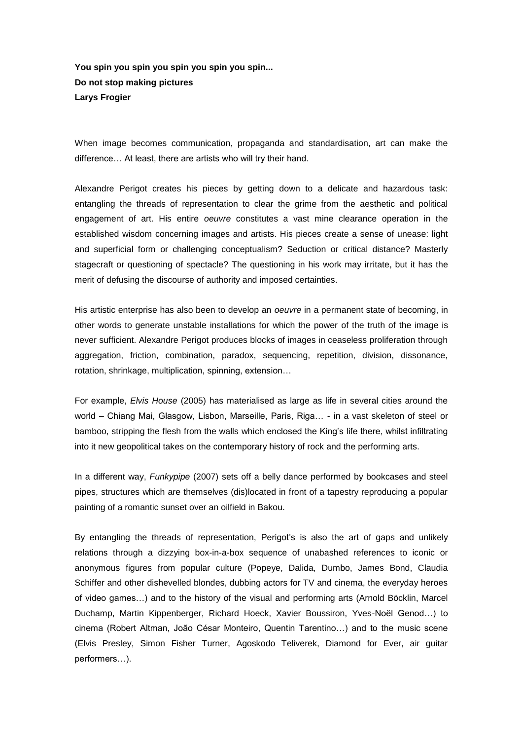**You spin you spin you spin you spin you spin... Do not stop making pictures Larys Frogier**

When image becomes communication, propaganda and standardisation, art can make the difference… At least, there are artists who will try their hand.

Alexandre Perigot creates his pieces by getting down to a delicate and hazardous task: entangling the threads of representation to clear the grime from the aesthetic and political engagement of art. His entire *oeuvre* constitutes a vast mine clearance operation in the established wisdom concerning images and artists. His pieces create a sense of unease: light and superficial form or challenging conceptualism? Seduction or critical distance? Masterly stagecraft or questioning of spectacle? The questioning in his work may irritate, but it has the merit of defusing the discourse of authority and imposed certainties.

His artistic enterprise has also been to develop an *oeuvre* in a permanent state of becoming, in other words to generate unstable installations for which the power of the truth of the image is never sufficient. Alexandre Perigot produces blocks of images in ceaseless proliferation through aggregation, friction, combination, paradox, sequencing, repetition, division, dissonance, rotation, shrinkage, multiplication, spinning, extension…

For example, *Elvis House* (2005) has materialised as large as life in several cities around the world – Chiang Mai, Glasgow, Lisbon, Marseille, Paris, Riga… - in a vast skeleton of steel or bamboo, stripping the flesh from the walls which enclosed the King"s life there, whilst infiltrating into it new geopolitical takes on the contemporary history of rock and the performing arts.

In a different way, *Funkypipe* (2007) sets off a belly dance performed by bookcases and steel pipes, structures which are themselves (dis)located in front of a tapestry reproducing a popular painting of a romantic sunset over an oilfield in Bakou.

By entangling the threads of representation, Perigot's is also the art of gaps and unlikely relations through a dizzying box-in-a-box sequence of unabashed references to iconic or anonymous figures from popular culture (Popeye, Dalida, Dumbo, James Bond, Claudia Schiffer and other dishevelled blondes, dubbing actors for TV and cinema, the everyday heroes of video games…) and to the history of the visual and performing arts (Arnold Böcklin, Marcel Duchamp, Martin Kippenberger, Richard Hoeck, Xavier Boussiron, Yves-Noël Genod…) to cinema (Robert Altman, João César Monteiro, Quentin Tarentino…) and to the music scene (Elvis Presley, Simon Fisher Turner, Agoskodo Teliverek, Diamond for Ever, air guitar performers…).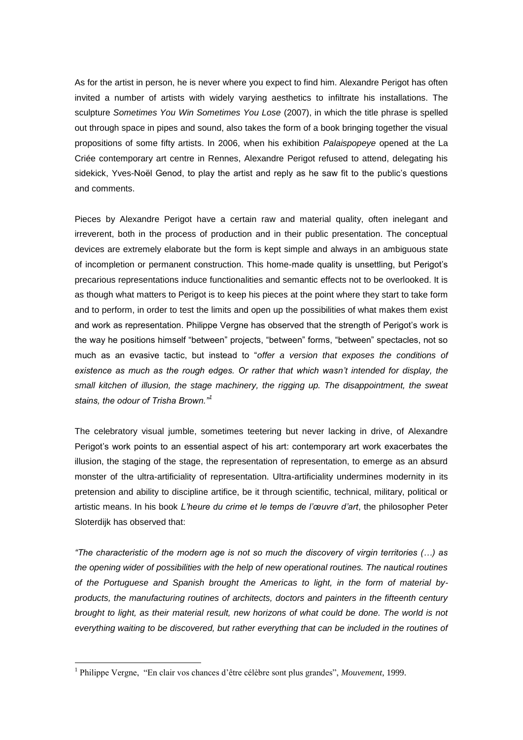As for the artist in person, he is never where you expect to find him. Alexandre Perigot has often invited a number of artists with widely varying aesthetics to infiltrate his installations. The sculpture *Sometimes You Win Sometimes You Lose* (2007), in which the title phrase is spelled out through space in pipes and sound, also takes the form of a book bringing together the visual propositions of some fifty artists. In 2006, when his exhibition *Palaispopeye* opened at the La Criée contemporary art centre in Rennes, Alexandre Perigot refused to attend, delegating his sidekick, Yves-Noël Genod, to play the artist and reply as he saw fit to the public's questions and comments.

Pieces by Alexandre Perigot have a certain raw and material quality, often inelegant and irreverent, both in the process of production and in their public presentation. The conceptual devices are extremely elaborate but the form is kept simple and always in an ambiguous state of incompletion or permanent construction. This home-made quality is unsettling, but Perigot"s precarious representations induce functionalities and semantic effects not to be overlooked. It is as though what matters to Perigot is to keep his pieces at the point where they start to take form and to perform, in order to test the limits and open up the possibilities of what makes them exist and work as representation. Philippe Vergne has observed that the strength of Perigot"s work is the way he positions himself "between" projects, "between" forms, "between" spectacles, not so much as an evasive tactic, but instead to "*offer a version that exposes the conditions of existence as much as the rough edges. Or rather that which wasn"t intended for display, the small kitchen of illusion, the stage machinery, the rigging up. The disappointment, the sweat stains, the odour of Trisha Brown."<sup>1</sup>*

The celebratory visual jumble, sometimes teetering but never lacking in drive, of Alexandre Perigot's work points to an essential aspect of his art: contemporary art work exacerbates the illusion, the staging of the stage, the representation of representation, to emerge as an absurd monster of the ultra-artificiality of representation. Ultra-artificiality undermines modernity in its pretension and ability to discipline artifice, be it through scientific, technical, military, political or artistic means. In his book *L"heure du crime et le temps de l"œuvre d"art*, the philosopher Peter Sloterdijk has observed that:

*"The characteristic of the modern age is not so much the discovery of virgin territories (…) as the opening wider of possibilities with the help of new operational routines. The nautical routines of the Portuguese and Spanish brought the Americas to light, in the form of material byproducts, the manufacturing routines of architects, doctors and painters in the fifteenth century brought to light, as their material result, new horizons of what could be done. The world is not everything waiting to be discovered, but rather everything that can be included in the routines of* 

1

<sup>1</sup> Philippe Vergne, "En clair vos chances d'être célèbre sont plus grandes", *Mouvement*, 1999.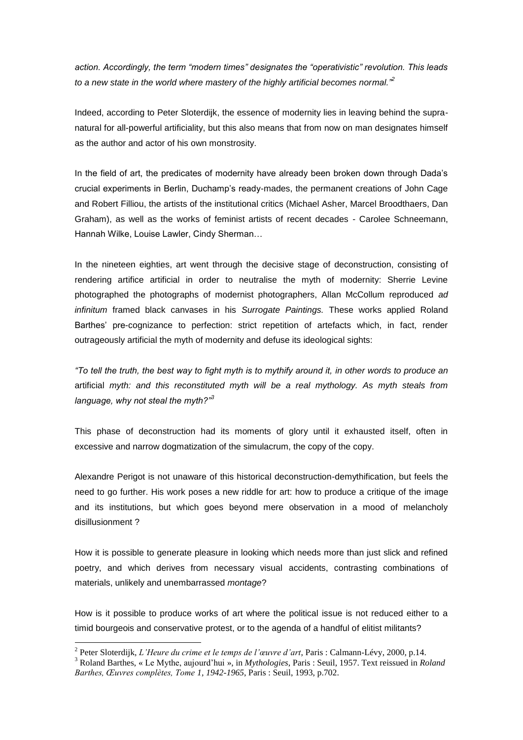*action. Accordingly, the term "modern times" designates the "operativistic" revolution. This leads to a new state in the world where mastery of the highly artificial becomes normal."<sup>2</sup>*

Indeed, according to Peter Sloterdijk, the essence of modernity lies in leaving behind the supranatural for all-powerful artificiality, but this also means that from now on man designates himself as the author and actor of his own monstrosity.

In the field of art, the predicates of modernity have already been broken down through Dada"s crucial experiments in Berlin, Duchamp"s ready-mades, the permanent creations of John Cage and Robert Filliou, the artists of the institutional critics (Michael Asher, Marcel Broodthaers, Dan Graham), as well as the works of feminist artists of recent decades - Carolee Schneemann, Hannah Wilke, Louise Lawler, Cindy Sherman…

In the nineteen eighties, art went through the decisive stage of deconstruction, consisting of rendering artifice artificial in order to neutralise the myth of modernity: Sherrie Levine photographed the photographs of modernist photographers, Allan McCollum reproduced *ad infinitum* framed black canvases in his *Surrogate Paintings.* These works applied Roland Barthes" pre-cognizance to perfection: strict repetition of artefacts which, in fact, render outrageously artificial the myth of modernity and defuse its ideological sights:

*"To tell the truth, the best way to fight myth is to mythify around it, in other words to produce an*  artificial *myth: and this reconstituted myth will be a real mythology. As myth steals from language, why not steal the myth?"<sup>3</sup>*

This phase of deconstruction had its moments of glory until it exhausted itself, often in excessive and narrow dogmatization of the simulacrum, the copy of the copy.

Alexandre Perigot is not unaware of this historical deconstruction-demythification, but feels the need to go further. His work poses a new riddle for art: how to produce a critique of the image and its institutions, but which goes beyond mere observation in a mood of melancholy disillusionment ?

How it is possible to generate pleasure in looking which needs more than just slick and refined poetry, and which derives from necessary visual accidents, contrasting combinations of materials, unlikely and unembarrassed *montage*?

How is it possible to produce works of art where the political issue is not reduced either to a timid bourgeois and conservative protest, or to the agenda of a handful of elitist militants?

1

<sup>2</sup> Peter Sloterdijk, *L'Heure du crime et le temps de l'œuvre d'art*, Paris : Calmann-Lévy, 2000, p.14.

<sup>3</sup> Roland Barthes, « Le Mythe, aujourd'hui », in *Mythologies*, Paris : Seuil, 1957. Text reissued in *Roland Barthes, Œuvres complètes, Tome 1, 1942-1965*, Paris : Seuil, 1993, p.702.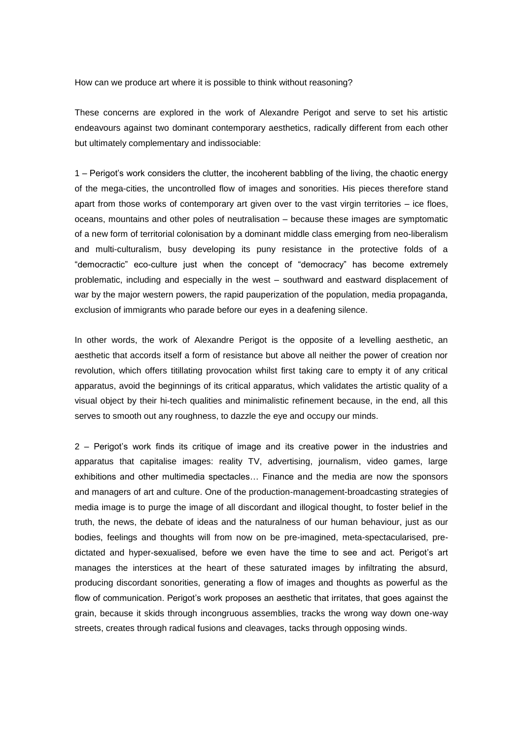How can we produce art where it is possible to think without reasoning?

These concerns are explored in the work of Alexandre Perigot and serve to set his artistic endeavours against two dominant contemporary aesthetics, radically different from each other but ultimately complementary and indissociable:

1 – Perigot"s work considers the clutter, the incoherent babbling of the living, the chaotic energy of the mega-cities, the uncontrolled flow of images and sonorities. His pieces therefore stand apart from those works of contemporary art given over to the vast virgin territories – ice floes, oceans, mountains and other poles of neutralisation – because these images are symptomatic of a new form of territorial colonisation by a dominant middle class emerging from neo-liberalism and multi-culturalism, busy developing its puny resistance in the protective folds of a "democractic" eco-culture just when the concept of "democracy" has become extremely problematic, including and especially in the west – southward and eastward displacement of war by the major western powers, the rapid pauperization of the population, media propaganda, exclusion of immigrants who parade before our eyes in a deafening silence.

In other words, the work of Alexandre Perigot is the opposite of a levelling aesthetic, an aesthetic that accords itself a form of resistance but above all neither the power of creation nor revolution, which offers titillating provocation whilst first taking care to empty it of any critical apparatus, avoid the beginnings of its critical apparatus, which validates the artistic quality of a visual object by their hi-tech qualities and minimalistic refinement because, in the end, all this serves to smooth out any roughness, to dazzle the eye and occupy our minds.

2 – Perigot"s work finds its critique of image and its creative power in the industries and apparatus that capitalise images: reality TV, advertising, journalism, video games, large exhibitions and other multimedia spectacles… Finance and the media are now the sponsors and managers of art and culture. One of the production-management-broadcasting strategies of media image is to purge the image of all discordant and illogical thought, to foster belief in the truth, the news, the debate of ideas and the naturalness of our human behaviour, just as our bodies, feelings and thoughts will from now on be pre-imagined, meta-spectacularised, predictated and hyper-sexualised, before we even have the time to see and act. Perigot"s art manages the interstices at the heart of these saturated images by infiltrating the absurd, producing discordant sonorities, generating a flow of images and thoughts as powerful as the flow of communication. Perigot's work proposes an aesthetic that irritates, that goes against the grain, because it skids through incongruous assemblies, tracks the wrong way down one-way streets, creates through radical fusions and cleavages, tacks through opposing winds.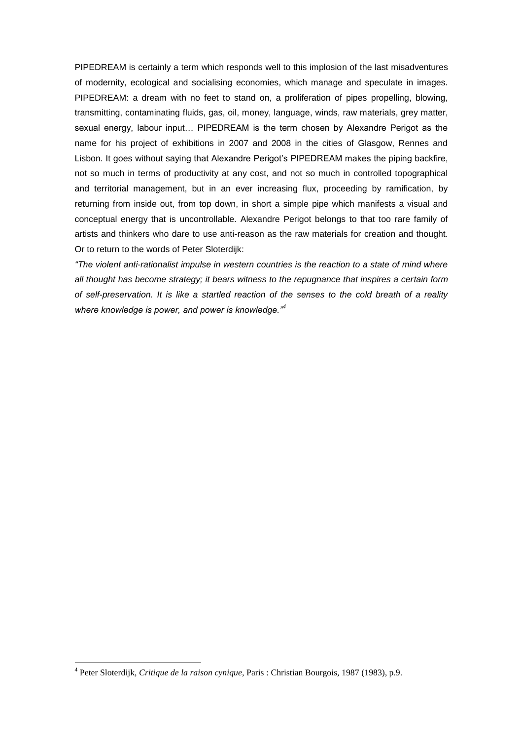PIPEDREAM is certainly a term which responds well to this implosion of the last misadventures of modernity, ecological and socialising economies, which manage and speculate in images. PIPEDREAM: a dream with no feet to stand on, a proliferation of pipes propelling, blowing, transmitting, contaminating fluids, gas, oil, money, language, winds, raw materials, grey matter, sexual energy, labour input… PIPEDREAM is the term chosen by Alexandre Perigot as the name for his project of exhibitions in 2007 and 2008 in the cities of Glasgow, Rennes and Lisbon. It goes without saying that Alexandre Perigot's PIPEDREAM makes the piping backfire, not so much in terms of productivity at any cost, and not so much in controlled topographical and territorial management, but in an ever increasing flux, proceeding by ramification, by returning from inside out, from top down, in short a simple pipe which manifests a visual and conceptual energy that is uncontrollable. Alexandre Perigot belongs to that too rare family of artists and thinkers who dare to use anti-reason as the raw materials for creation and thought. Or to return to the words of Peter Sloterdijk:

*"The violent anti-rationalist impulse in western countries is the reaction to a state of mind where all thought has become strategy; it bears witness to the repugnance that inspires a certain form of self-preservation. It is like a startled reaction of the senses to the cold breath of a reality where knowledge is power, and power is knowledge."<sup>4</sup>*

1

<sup>4</sup> Peter Sloterdijk, *Critique de la raison cynique*, Paris : Christian Bourgois, 1987 (1983), p.9.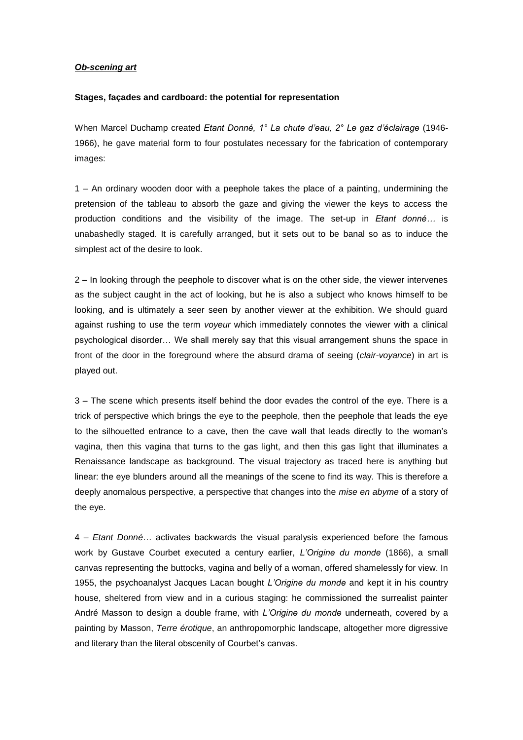# *Ob-scening art*

### **Stages, façades and cardboard: the potential for representation**

When Marcel Duchamp created *Etant Donné, 1° La chute d"eau, 2° Le gaz d"éclairage* (1946- 1966), he gave material form to four postulates necessary for the fabrication of contemporary images:

1 – An ordinary wooden door with a peephole takes the place of a painting, undermining the pretension of the tableau to absorb the gaze and giving the viewer the keys to access the production conditions and the visibility of the image. The set-up in *Etant donné…* is unabashedly staged. It is carefully arranged, but it sets out to be banal so as to induce the simplest act of the desire to look.

2 – In looking through the peephole to discover what is on the other side, the viewer intervenes as the subject caught in the act of looking, but he is also a subject who knows himself to be looking, and is ultimately a seer seen by another viewer at the exhibition. We should guard against rushing to use the term *voyeur* which immediately connotes the viewer with a clinical psychological disorder… We shall merely say that this visual arrangement shuns the space in front of the door in the foreground where the absurd drama of seeing (*clair-voyance*) in art is played out.

3 – The scene which presents itself behind the door evades the control of the eye. There is a trick of perspective which brings the eye to the peephole, then the peephole that leads the eye to the silhouetted entrance to a cave, then the cave wall that leads directly to the woman"s vagina, then this vagina that turns to the gas light, and then this gas light that illuminates a Renaissance landscape as background. The visual trajectory as traced here is anything but linear: the eye blunders around all the meanings of the scene to find its way. This is therefore a deeply anomalous perspective, a perspective that changes into the *mise en abyme* of a story of the eye.

4 – *Etant Donné*… activates backwards the visual paralysis experienced before the famous work by Gustave Courbet executed a century earlier, *L"Origine du monde* (1866), a small canvas representing the buttocks, vagina and belly of a woman, offered shamelessly for view. In 1955, the psychoanalyst Jacques Lacan bought *L"Origine du monde* and kept it in his country house, sheltered from view and in a curious staging: he commissioned the surrealist painter André Masson to design a double frame, with *L"Origine du monde* underneath, covered by a painting by Masson, *Terre érotique*, an anthropomorphic landscape, altogether more digressive and literary than the literal obscenity of Courbet's canvas.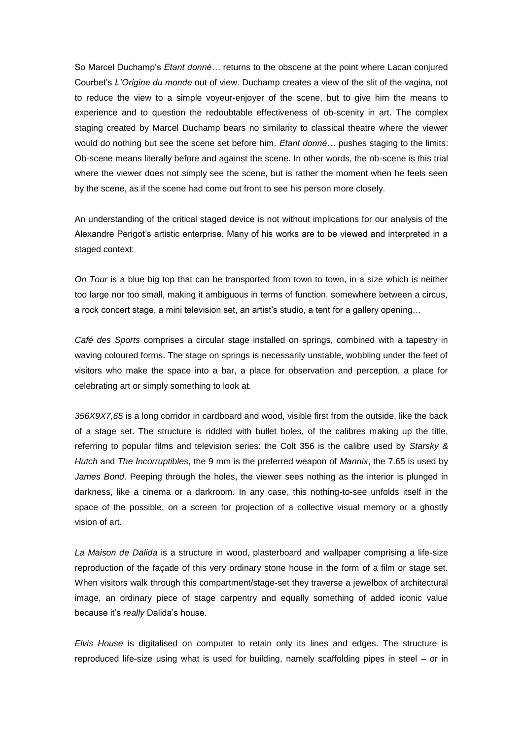So Marcel Duchamp"s *Etant donné…* returns to the obscene at the point where Lacan conjured Courbet"s *L"Origine du monde* out of view. Duchamp creates a view of the slit of the vagina, not to reduce the view to a simple voyeur-enjoyer of the scene, but to give him the means to experience and to question the redoubtable effectiveness of ob-scenity in art. The complex staging created by Marcel Duchamp bears no similarity to classical theatre where the viewer would do nothing but see the scene set before him. *Etant donné…* pushes staging to the limits: Ob-scene means literally before and against the scene. In other words, the ob-scene is this trial where the viewer does not simply see the scene, but is rather the moment when he feels seen by the scene, as if the scene had come out front to see his person more closely.

An understanding of the critical staged device is not without implications for our analysis of the Alexandre Perigot"s artistic enterprise. Many of his works are to be viewed and interpreted in a staged context:

*On Tour* is a blue big top that can be transported from town to town, in a size which is neither too large nor too small, making it ambiguous in terms of function, somewhere between a circus, a rock concert stage, a mini television set, an artist's studio, a tent for a gallery opening...

*Café des Sports* comprises a circular stage installed on springs, combined with a tapestry in waving coloured forms. The stage on springs is necessarily unstable, wobbling under the feet of visitors who make the space into a bar, a place for observation and perception, a place for celebrating art or simply something to look at.

*356X9X7,65* is a long corridor in cardboard and wood, visible first from the outside, like the back of a stage set. The structure is riddled with bullet holes, of the calibres making up the title, referring to popular films and television series: the Colt 356 is the calibre used by *Starsky & Hutch* and *The Incorruptibles*, the 9 mm is the preferred weapon of *Mannix*, the 7.65 is used by *James Bond*. Peeping through the holes, the viewer sees nothing as the interior is plunged in darkness, like a cinema or a darkroom. In any case, this nothing-to-see unfolds itself in the space of the possible, on a screen for projection of a collective visual memory or a ghostly vision of art.

*La Maison de Dalida* is a structure in wood, plasterboard and wallpaper comprising a life-size reproduction of the façade of this very ordinary stone house in the form of a film or stage set. When visitors walk through this compartment/stage-set they traverse a jewelbox of architectural image, an ordinary piece of stage carpentry and equally something of added iconic value because it"s *really* Dalida"s house.

*Elvis House* is digitalised on computer to retain only its lines and edges. The structure is reproduced life-size using what is used for building, namely scaffolding pipes in steel – or in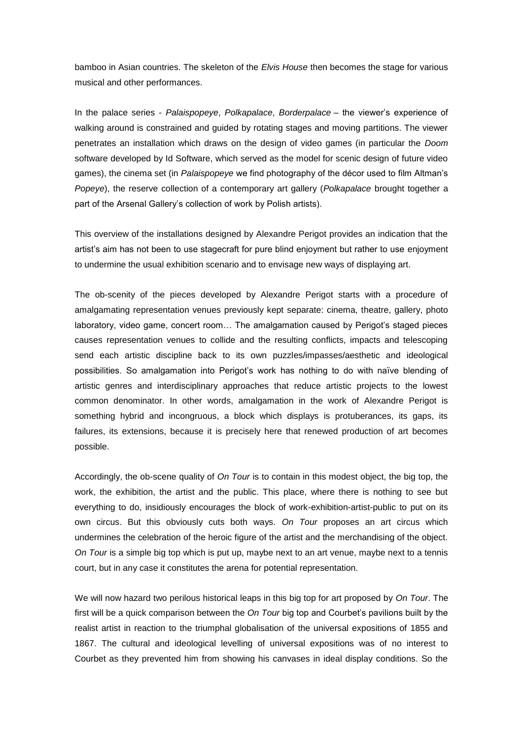bamboo in Asian countries. The skeleton of the *Elvis House* then becomes the stage for various musical and other performances.

In the palace series - *Palaispopeye*, *Polkapalace*, *Borderpalace* – the viewer"s experience of walking around is constrained and guided by rotating stages and moving partitions. The viewer penetrates an installation which draws on the design of video games (in particular the *Doom* software developed by Id Software, which served as the model for scenic design of future video games), the cinema set (in *Palaispopeye* we find photography of the décor used to film Altman"s *Popeye*), the reserve collection of a contemporary art gallery (*Polkapalace* brought together a part of the Arsenal Gallery"s collection of work by Polish artists).

This overview of the installations designed by Alexandre Perigot provides an indication that the artist's aim has not been to use stagecraft for pure blind enjoyment but rather to use enjoyment to undermine the usual exhibition scenario and to envisage new ways of displaying art.

The ob-scenity of the pieces developed by Alexandre Perigot starts with a procedure of amalgamating representation venues previously kept separate: cinema, theatre, gallery, photo laboratory, video game, concert room… The amalgamation caused by Perigot"s staged pieces causes representation venues to collide and the resulting conflicts, impacts and telescoping send each artistic discipline back to its own puzzles/impasses/aesthetic and ideological possibilities. So amalgamation into Perigot's work has nothing to do with naïve blending of artistic genres and interdisciplinary approaches that reduce artistic projects to the lowest common denominator. In other words, amalgamation in the work of Alexandre Perigot is something hybrid and incongruous, a block which displays is protuberances, its gaps, its failures, its extensions, because it is precisely here that renewed production of art becomes possible.

Accordingly, the ob-scene quality of *On Tour* is to contain in this modest object, the big top, the work, the exhibition, the artist and the public. This place, where there is nothing to see but everything to do, insidiously encourages the block of work-exhibition-artist-public to put on its own circus. But this obviously cuts both ways. *On Tour* proposes an art circus which undermines the celebration of the heroic figure of the artist and the merchandising of the object. *On Tour* is a simple big top which is put up, maybe next to an art venue, maybe next to a tennis court, but in any case it constitutes the arena for potential representation.

We will now hazard two perilous historical leaps in this big top for art proposed by *On Tour*. The first will be a quick comparison between the *On Tour* big top and Courbet"s pavilions built by the realist artist in reaction to the triumphal globalisation of the universal expositions of 1855 and 1867. The cultural and ideological levelling of universal expositions was of no interest to Courbet as they prevented him from showing his canvases in ideal display conditions. So the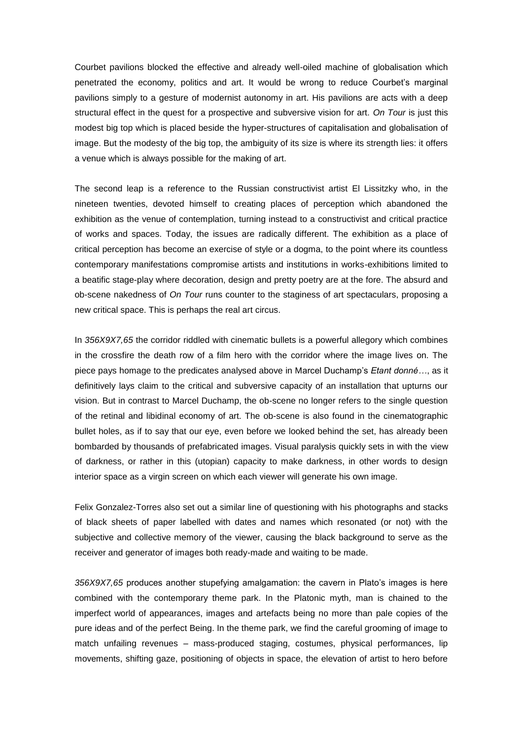Courbet pavilions blocked the effective and already well-oiled machine of globalisation which penetrated the economy, politics and art. It would be wrong to reduce Courbet's marginal pavilions simply to a gesture of modernist autonomy in art. His pavilions are acts with a deep structural effect in the quest for a prospective and subversive vision for art. *On Tour* is just this modest big top which is placed beside the hyper-structures of capitalisation and globalisation of image. But the modesty of the big top, the ambiguity of its size is where its strength lies: it offers a venue which is always possible for the making of art.

The second leap is a reference to the Russian constructivist artist El Lissitzky who, in the nineteen twenties, devoted himself to creating places of perception which abandoned the exhibition as the venue of contemplation, turning instead to a constructivist and critical practice of works and spaces. Today, the issues are radically different. The exhibition as a place of critical perception has become an exercise of style or a dogma, to the point where its countless contemporary manifestations compromise artists and institutions in works-exhibitions limited to a beatific stage-play where decoration, design and pretty poetry are at the fore. The absurd and ob-scene nakedness of *On Tour* runs counter to the staginess of art spectaculars, proposing a new critical space. This is perhaps the real art circus.

In *356X9X7,65* the corridor riddled with cinematic bullets is a powerful allegory which combines in the crossfire the death row of a film hero with the corridor where the image lives on. The piece pays homage to the predicates analysed above in Marcel Duchamp"s *Etant donné…*, as it definitively lays claim to the critical and subversive capacity of an installation that upturns our vision. But in contrast to Marcel Duchamp, the ob-scene no longer refers to the single question of the retinal and libidinal economy of art. The ob-scene is also found in the cinematographic bullet holes, as if to say that our eye, even before we looked behind the set, has already been bombarded by thousands of prefabricated images. Visual paralysis quickly sets in with the view of darkness, or rather in this (utopian) capacity to make darkness, in other words to design interior space as a virgin screen on which each viewer will generate his own image.

Felix Gonzalez-Torres also set out a similar line of questioning with his photographs and stacks of black sheets of paper labelled with dates and names which resonated (or not) with the subjective and collective memory of the viewer, causing the black background to serve as the receiver and generator of images both ready-made and waiting to be made.

*356X9X7,65* produces another stupefying amalgamation: the cavern in Plato"s images is here combined with the contemporary theme park. In the Platonic myth, man is chained to the imperfect world of appearances, images and artefacts being no more than pale copies of the pure ideas and of the perfect Being. In the theme park, we find the careful grooming of image to match unfailing revenues – mass-produced staging, costumes, physical performances, lip movements, shifting gaze, positioning of objects in space, the elevation of artist to hero before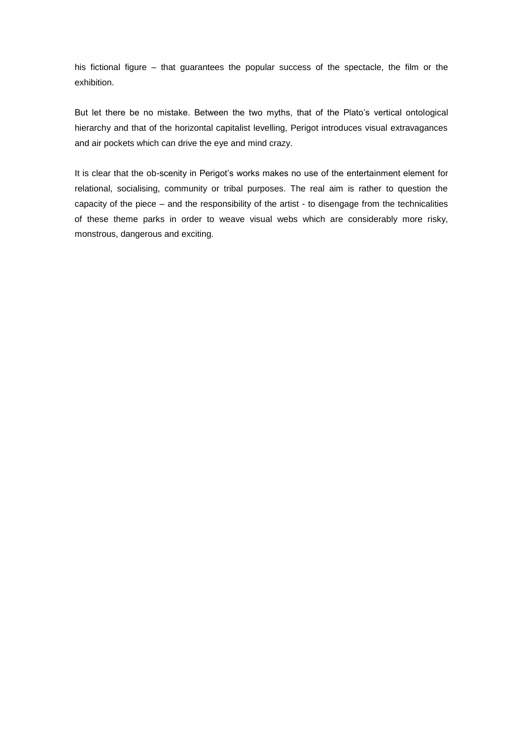his fictional figure – that guarantees the popular success of the spectacle, the film or the exhibition.

But let there be no mistake. Between the two myths, that of the Plato's vertical ontological hierarchy and that of the horizontal capitalist levelling, Perigot introduces visual extravagances and air pockets which can drive the eye and mind crazy.

It is clear that the ob-scenity in Perigot's works makes no use of the entertainment element for relational, socialising, community or tribal purposes. The real aim is rather to question the capacity of the piece – and the responsibility of the artist - to disengage from the technicalities of these theme parks in order to weave visual webs which are considerably more risky, monstrous, dangerous and exciting.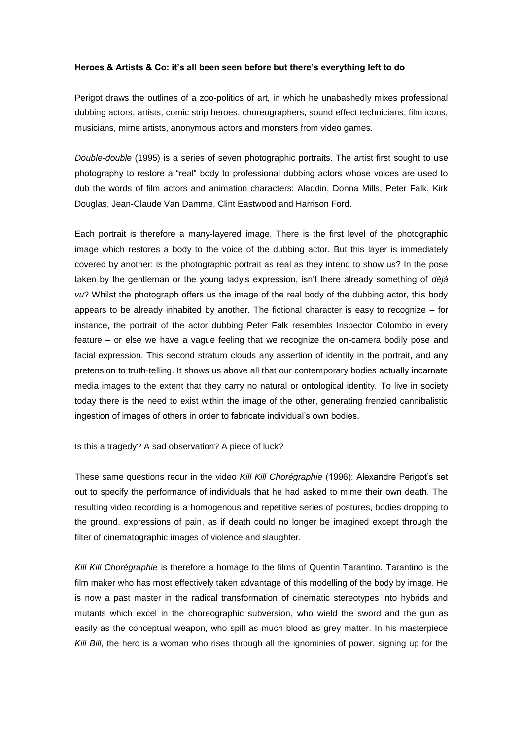### **Heroes & Artists & Co: it's all been seen before but there's everything left to do**

Perigot draws the outlines of a zoo-politics of art, in which he unabashedly mixes professional dubbing actors, artists, comic strip heroes, choreographers, sound effect technicians, film icons, musicians, mime artists, anonymous actors and monsters from video games.

*Double-double* (1995) is a series of seven photographic portraits. The artist first sought to use photography to restore a "real" body to professional dubbing actors whose voices are used to dub the words of film actors and animation characters: Aladdin, Donna Mills, Peter Falk, Kirk Douglas, Jean-Claude Van Damme, Clint Eastwood and Harrison Ford.

Each portrait is therefore a many-layered image. There is the first level of the photographic image which restores a body to the voice of the dubbing actor. But this layer is immediately covered by another: is the photographic portrait as real as they intend to show us? In the pose taken by the gentleman or the young lady"s expression, isn"t there already something of *déjà vu*? Whilst the photograph offers us the image of the real body of the dubbing actor, this body appears to be already inhabited by another. The fictional character is easy to recognize – for instance, the portrait of the actor dubbing Peter Falk resembles Inspector Colombo in every feature – or else we have a vague feeling that we recognize the on-camera bodily pose and facial expression. This second stratum clouds any assertion of identity in the portrait, and any pretension to truth-telling. It shows us above all that our contemporary bodies actually incarnate media images to the extent that they carry no natural or ontological identity. To live in society today there is the need to exist within the image of the other, generating frenzied cannibalistic ingestion of images of others in order to fabricate individual"s own bodies.

### Is this a tragedy? A sad observation? A piece of luck?

These same questions recur in the video *Kill Kill Chorégraphie* (1996): Alexandre Perigot"s set out to specify the performance of individuals that he had asked to mime their own death. The resulting video recording is a homogenous and repetitive series of postures, bodies dropping to the ground, expressions of pain, as if death could no longer be imagined except through the filter of cinematographic images of violence and slaughter.

*Kill Kill Chorégraphie* is therefore a homage to the films of Quentin Tarantino. Tarantino is the film maker who has most effectively taken advantage of this modelling of the body by image. He is now a past master in the radical transformation of cinematic stereotypes into hybrids and mutants which excel in the choreographic subversion, who wield the sword and the gun as easily as the conceptual weapon, who spill as much blood as grey matter. In his masterpiece *Kill Bill*, the hero is a woman who rises through all the ignominies of power, signing up for the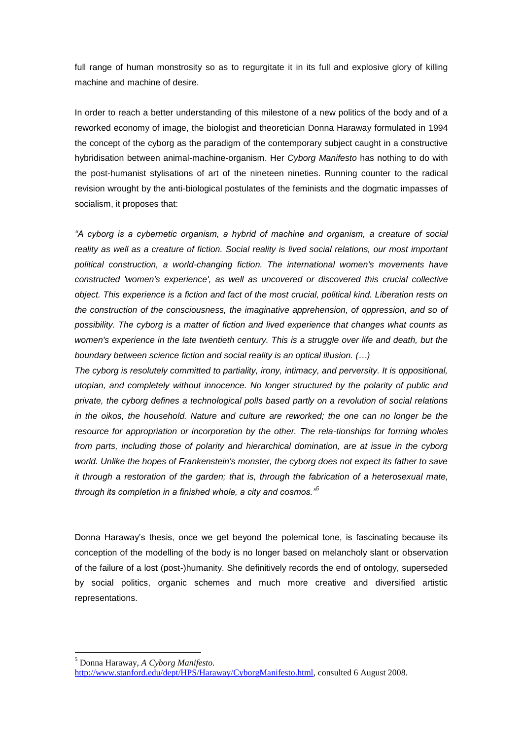full range of human monstrosity so as to regurgitate it in its full and explosive glory of killing machine and machine of desire.

In order to reach a better understanding of this milestone of a new politics of the body and of a reworked economy of image, the biologist and theoretician Donna Haraway formulated in 1994 the concept of the cyborg as the paradigm of the contemporary subject caught in a constructive hybridisation between animal-machine-organism. Her *Cyborg Manifesto* has nothing to do with the post-humanist stylisations of art of the nineteen nineties. Running counter to the radical revision wrought by the anti-biological postulates of the feminists and the dogmatic impasses of socialism, it proposes that:

*"A cyborg is a cybernetic organism, a hybrid of machine and organism, a creature of social*  reality as well as a creature of fiction. Social reality is lived social relations, our most important *political construction, a world-changing fiction. The international women's movements have constructed 'women's experience', as well as uncovered or discovered this crucial collective object. This experience is a fiction and fact of the most crucial, political kind. Liberation rests on the construction of the consciousness, the imaginative apprehension, of oppression, and so of possibility. The cyborg is a matter of fiction and lived experience that changes what counts as*  women's experience in the late twentieth century. This is a struggle over life and death, but the *boundary between science fiction and social reality is an optical illusion. (…)*

*The cyborg is resolutely committed to partiality, irony, intimacy, and perversity. It is oppositional, utopian, and completely without innocence. No longer structured by the polarity of public and private, the cyborg defines a technological polls based partly on a revolution of social relations in the oikos, the household. Nature and culture are reworked; the one can no longer be the resource for appropriation or incorporation by the other. The rela-tionships for forming wholes*  from parts, including those of polarity and hierarchical domination, are at issue in the cyborg *world. Unlike the hopes of Frankenstein's monster, the cyborg does not expect its father to save it through a restoration of the garden; that is, through the fabrication of a heterosexual mate, through its completion in a finished whole, a city and cosmos."<sup>5</sup>*

Donna Haraway"s thesis, once we get beyond the polemical tone, is fascinating because its conception of the modelling of the body is no longer based on melancholy slant or observation of the failure of a lost (post-)humanity. She definitively records the end of ontology, superseded by social politics, organic schemes and much more creative and diversified artistic representations.

<sup>5</sup> Donna Haraway, *A Cyborg Manifesto.* 

[http://www.stanford.edu/dept/HPS/Haraway/CyborgManifesto.html,](http://www.stanford.edu/dept/HPS/Haraway/CyborgManifesto.html) consulted 6 August 2008.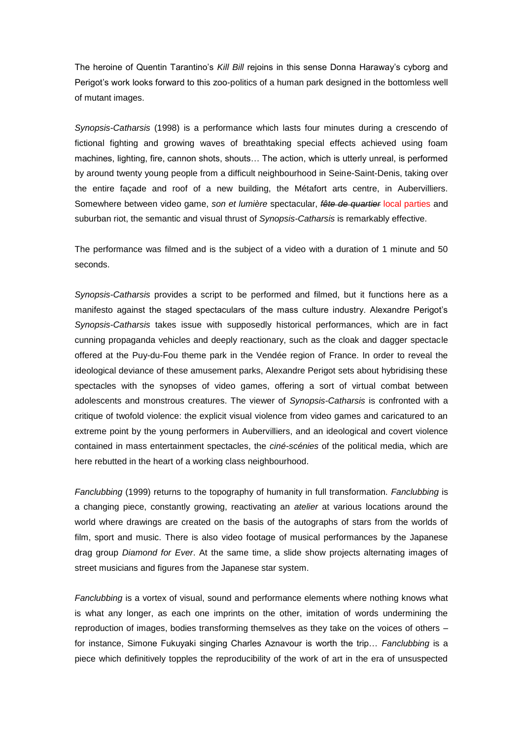The heroine of Quentin Tarantino"s *Kill Bill* rejoins in this sense Donna Haraway"s cyborg and Perigot's work looks forward to this zoo-politics of a human park designed in the bottomless well of mutant images.

*Synopsis-Catharsis* (1998) is a performance which lasts four minutes during a crescendo of fictional fighting and growing waves of breathtaking special effects achieved using foam machines, lighting, fire, cannon shots, shouts… The action, which is utterly unreal, is performed by around twenty young people from a difficult neighbourhood in Seine-Saint-Denis, taking over the entire façade and roof of a new building, the Métafort arts centre, in Aubervilliers. Somewhere between video game, *son et lumière* spectacular, *fête de quartier* local parties and suburban riot, the semantic and visual thrust of *Synopsis-Catharsis* is remarkably effective.

The performance was filmed and is the subject of a video with a duration of 1 minute and 50 seconds.

*Synopsis-Catharsis* provides a script to be performed and filmed, but it functions here as a manifesto against the staged spectaculars of the mass culture industry. Alexandre Perigot"s *Synopsis-Catharsis* takes issue with supposedly historical performances, which are in fact cunning propaganda vehicles and deeply reactionary, such as the cloak and dagger spectacle offered at the Puy-du-Fou theme park in the Vendée region of France. In order to reveal the ideological deviance of these amusement parks, Alexandre Perigot sets about hybridising these spectacles with the synopses of video games, offering a sort of virtual combat between adolescents and monstrous creatures. The viewer of *Synopsis-Catharsis* is confronted with a critique of twofold violence: the explicit visual violence from video games and caricatured to an extreme point by the young performers in Aubervilliers, and an ideological and covert violence contained in mass entertainment spectacles, the *ciné-scénies* of the political media, which are here rebutted in the heart of a working class neighbourhood.

*Fanclubbing* (1999) returns to the topography of humanity in full transformation. *Fanclubbing* is a changing piece, constantly growing, reactivating an *atelier* at various locations around the world where drawings are created on the basis of the autographs of stars from the worlds of film, sport and music. There is also video footage of musical performances by the Japanese drag group *Diamond for Ever*. At the same time, a slide show projects alternating images of street musicians and figures from the Japanese star system.

*Fanclubbing* is a vortex of visual, sound and performance elements where nothing knows what is what any longer, as each one imprints on the other, imitation of words undermining the reproduction of images, bodies transforming themselves as they take on the voices of others – for instance, Simone Fukuyaki singing Charles Aznavour is worth the trip… *Fanclubbing* is a piece which definitively topples the reproducibility of the work of art in the era of unsuspected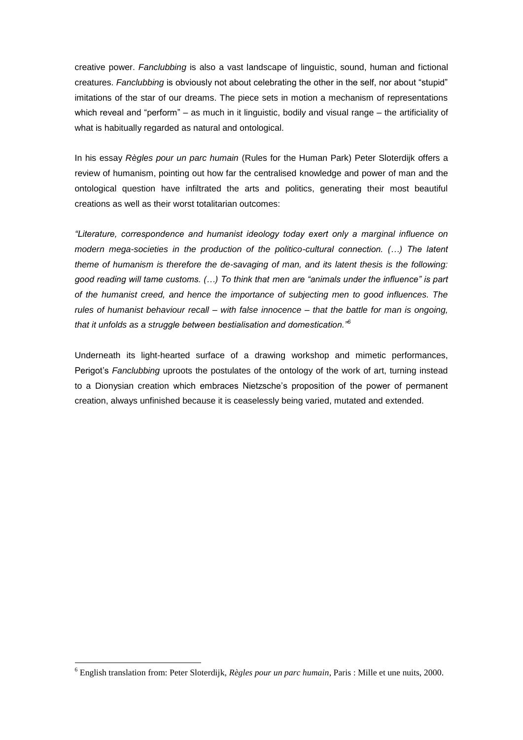creative power. *Fanclubbing* is also a vast landscape of linguistic, sound, human and fictional creatures. *Fanclubbing* is obviously not about celebrating the other in the self, nor about "stupid" imitations of the star of our dreams. The piece sets in motion a mechanism of representations which reveal and "perform" – as much in it linguistic, bodily and visual range – the artificiality of what is habitually regarded as natural and ontological.

In his essay *Règles pour un parc humain* (Rules for the Human Park) Peter Sloterdijk offers a review of humanism, pointing out how far the centralised knowledge and power of man and the ontological question have infiltrated the arts and politics, generating their most beautiful creations as well as their worst totalitarian outcomes:

*"Literature, correspondence and humanist ideology today exert only a marginal influence on*  modern mega-societies in the production of the politico-cultural connection. (...) The latent *theme of humanism is therefore the de-savaging of man, and its latent thesis is the following: good reading will tame customs. (…) To think that men are "animals under the influence" is part of the humanist creed, and hence the importance of subjecting men to good influences. The rules of humanist behaviour recall – with false innocence – that the battle for man is ongoing, that it unfolds as a struggle between bestialisation and domestication."<sup>6</sup>*

Underneath its light-hearted surface of a drawing workshop and mimetic performances, Perigot's *Fanclubbing* uproots the postulates of the ontology of the work of art, turning instead to a Dionysian creation which embraces Nietzsche"s proposition of the power of permanent creation, always unfinished because it is ceaselessly being varied, mutated and extended.

1

<sup>6</sup> English translation from: Peter Sloterdijk, *Règles pour un parc humain*, Paris : Mille et une nuits, 2000.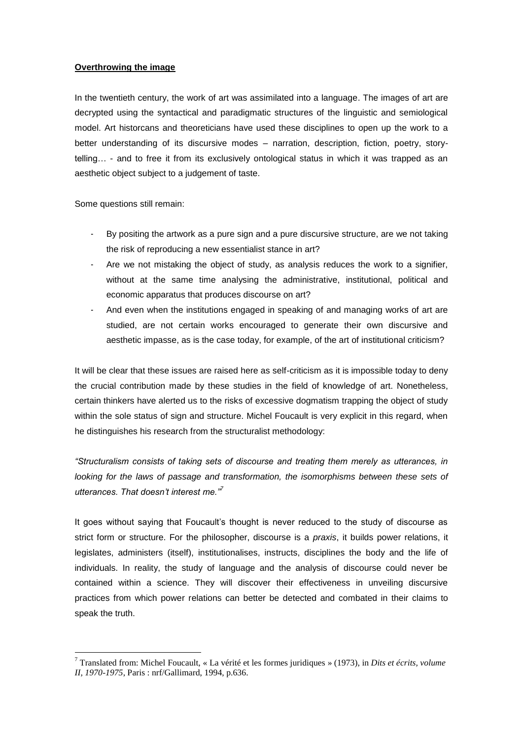# **Overthrowing the image**

In the twentieth century, the work of art was assimilated into a language. The images of art are decrypted using the syntactical and paradigmatic structures of the linguistic and semiological model. Art historcans and theoreticians have used these disciplines to open up the work to a better understanding of its discursive modes – narration, description, fiction, poetry, storytelling… - and to free it from its exclusively ontological status in which it was trapped as an aesthetic object subject to a judgement of taste.

Some questions still remain:

<u>.</u>

- By positing the artwork as a pure sign and a pure discursive structure, are we not taking the risk of reproducing a new essentialist stance in art?
- Are we not mistaking the object of study, as analysis reduces the work to a signifier, without at the same time analysing the administrative, institutional, political and economic apparatus that produces discourse on art?
- And even when the institutions engaged in speaking of and managing works of art are studied, are not certain works encouraged to generate their own discursive and aesthetic impasse, as is the case today, for example, of the art of institutional criticism?

It will be clear that these issues are raised here as self-criticism as it is impossible today to deny the crucial contribution made by these studies in the field of knowledge of art. Nonetheless, certain thinkers have alerted us to the risks of excessive dogmatism trapping the object of study within the sole status of sign and structure. Michel Foucault is very explicit in this regard, when he distinguishes his research from the structuralist methodology:

*"Structuralism consists of taking sets of discourse and treating them merely as utterances, in looking for the laws of passage and transformation, the isomorphisms between these sets of utterances. That doesn"t interest me."<sup>7</sup>*

It goes without saying that Foucault's thought is never reduced to the study of discourse as strict form or structure. For the philosopher, discourse is a *praxis*, it builds power relations, it legislates, administers (itself), institutionalises, instructs, disciplines the body and the life of individuals. In reality, the study of language and the analysis of discourse could never be contained within a science. They will discover their effectiveness in unveiling discursive practices from which power relations can better be detected and combated in their claims to speak the truth.

<sup>7</sup> Translated from: Michel Foucault, « La vérité et les formes juridiques » (1973), in *Dits et écrits, volume II, 1970-1975*, Paris : nrf/Gallimard, 1994, p.636.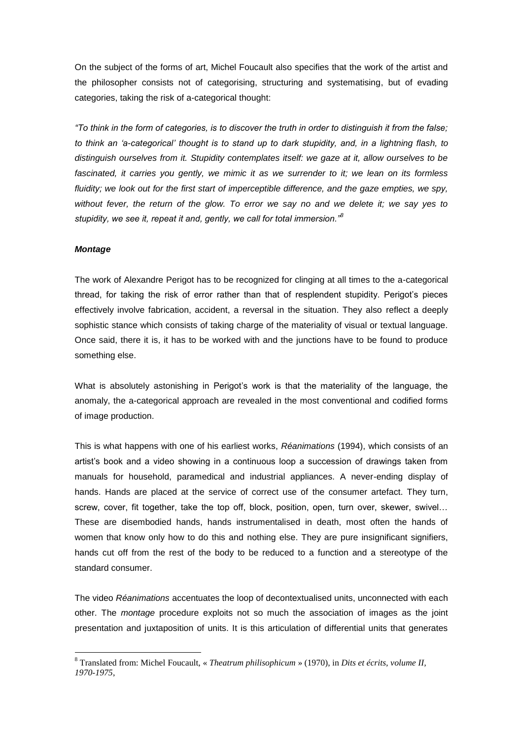On the subject of the forms of art, Michel Foucault also specifies that the work of the artist and the philosopher consists not of categorising, structuring and systematising, but of evading categories, taking the risk of a-categorical thought:

*"To think in the form of categories, is to discover the truth in order to distinguish it from the false; to think an "a-categorical" thought is to stand up to dark stupidity, and, in a lightning flash, to distinguish ourselves from it. Stupidity contemplates itself: we gaze at it, allow ourselves to be fascinated, it carries you gently, we mimic it as we surrender to it; we lean on its formless fluidity; we look out for the first start of imperceptible difference, and the gaze empties, we spy, without fever, the return of the glow. To error we say no and we delete it; we say yes to stupidity, we see it, repeat it and, gently, we call for total immersion."<sup>8</sup>*

## *Montage*

<u>.</u>

The work of Alexandre Perigot has to be recognized for clinging at all times to the a-categorical thread, for taking the risk of error rather than that of resplendent stupidity. Perigot"s pieces effectively involve fabrication, accident, a reversal in the situation. They also reflect a deeply sophistic stance which consists of taking charge of the materiality of visual or textual language. Once said, there it is, it has to be worked with and the junctions have to be found to produce something else.

What is absolutely astonishing in Perigot's work is that the materiality of the language, the anomaly, the a-categorical approach are revealed in the most conventional and codified forms of image production.

This is what happens with one of his earliest works, *Réanimations* (1994), which consists of an artist"s book and a video showing in a continuous loop a succession of drawings taken from manuals for household, paramedical and industrial appliances. A never-ending display of hands. Hands are placed at the service of correct use of the consumer artefact. They turn, screw, cover, fit together, take the top off, block, position, open, turn over, skewer, swivel… These are disembodied hands, hands instrumentalised in death, most often the hands of women that know only how to do this and nothing else. They are pure insignificant signifiers, hands cut off from the rest of the body to be reduced to a function and a stereotype of the standard consumer.

The video *Réanimations* accentuates the loop of decontextualised units, unconnected with each other. The *montage* procedure exploits not so much the association of images as the joint presentation and juxtaposition of units. It is this articulation of differential units that generates

<sup>8</sup> Translated from: Michel Foucault, « *Theatrum philisophicum* » (1970), in *Dits et écrits, volume II, 1970-1975*,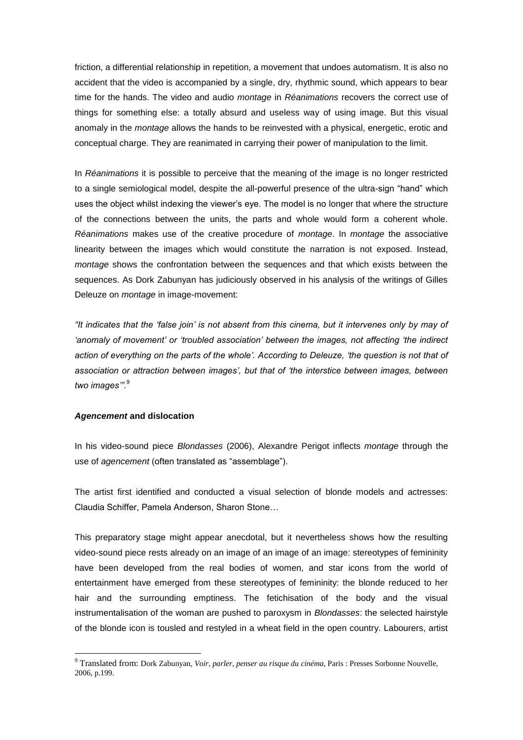friction, a differential relationship in repetition, a movement that undoes automatism. It is also no accident that the video is accompanied by a single, dry, rhythmic sound, which appears to bear time for the hands. The video and audio *montage* in *Réanimations* recovers the correct use of things for something else: a totally absurd and useless way of using image. But this visual anomaly in the *montage* allows the hands to be reinvested with a physical, energetic, erotic and conceptual charge. They are reanimated in carrying their power of manipulation to the limit.

In *Réanimations* it is possible to perceive that the meaning of the image is no longer restricted to a single semiological model, despite the all-powerful presence of the ultra-sign "hand" which uses the object whilst indexing the viewer"s eye. The model is no longer that where the structure of the connections between the units, the parts and whole would form a coherent whole. *Réanimations* makes use of the creative procedure of *montage*. In *montage* the associative linearity between the images which would constitute the narration is not exposed. Instead, *montage* shows the confrontation between the sequences and that which exists between the sequences. As Dork Zabunyan has judiciously observed in his analysis of the writings of Gilles Deleuze on *montage* in image-movement:

*"It indicates that the "false join" is not absent from this cinema, but it intervenes only by may of "anomaly of movement" or "troubled association" between the images, not affecting "the indirect*  action of everything on the parts of the whole'. According to Deleuze, 'the question is not that of association or attraction between images', but that of 'the interstice between images, between *two images""*. 9

## *Agencement* **and dislocation**

<u>.</u>

In his video-sound piece *Blondasses* (2006), Alexandre Perigot inflects *montage* through the use of *agencement* (often translated as "assemblage").

The artist first identified and conducted a visual selection of blonde models and actresses: Claudia Schiffer, Pamela Anderson, Sharon Stone…

This preparatory stage might appear anecdotal, but it nevertheless shows how the resulting video-sound piece rests already on an image of an image of an image: stereotypes of femininity have been developed from the real bodies of women, and star icons from the world of entertainment have emerged from these stereotypes of femininity: the blonde reduced to her hair and the surrounding emptiness. The fetichisation of the body and the visual instrumentalisation of the woman are pushed to paroxysm in *Blondasses*: the selected hairstyle of the blonde icon is tousled and restyled in a wheat field in the open country. Labourers, artist

<sup>9</sup> Translated from: Dork Zabunyan, *Voir, parler, penser au risque du cinéma*, Paris : Presses Sorbonne Nouvelle, 2006, p.199.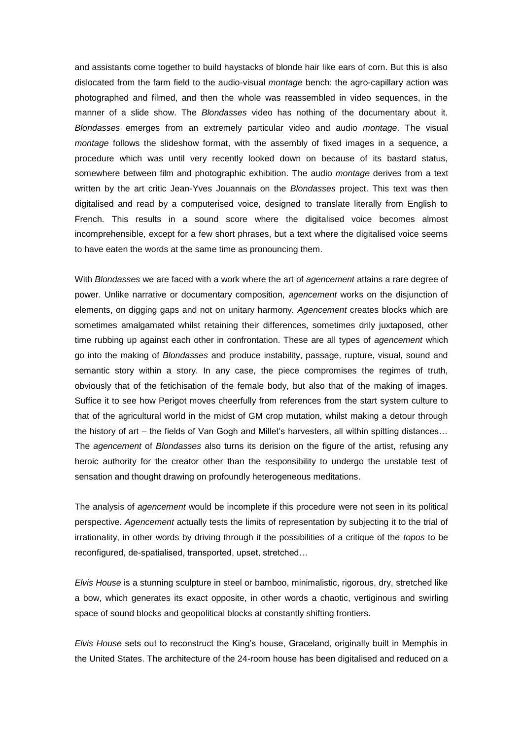and assistants come together to build haystacks of blonde hair like ears of corn. But this is also dislocated from the farm field to the audio-visual *montage* bench: the agro-capillary action was photographed and filmed, and then the whole was reassembled in video sequences, in the manner of a slide show. The *Blondasses* video has nothing of the documentary about it. *Blondasses* emerges from an extremely particular video and audio *montage*. The visual *montage* follows the slideshow format, with the assembly of fixed images in a sequence, a procedure which was until very recently looked down on because of its bastard status, somewhere between film and photographic exhibition. The audio *montage* derives from a text written by the art critic Jean-Yves Jouannais on the *Blondasses* project. This text was then digitalised and read by a computerised voice, designed to translate literally from English to French. This results in a sound score where the digitalised voice becomes almost incomprehensible, except for a few short phrases, but a text where the digitalised voice seems to have eaten the words at the same time as pronouncing them.

With *Blondasses* we are faced with a work where the art of *agencement* attains a rare degree of power. Unlike narrative or documentary composition, *agencement* works on the disjunction of elements, on digging gaps and not on unitary harmony. *Agencement* creates blocks which are sometimes amalgamated whilst retaining their differences, sometimes drily juxtaposed, other time rubbing up against each other in confrontation. These are all types of *agencement* which go into the making of *Blondasses* and produce instability, passage, rupture, visual, sound and semantic story within a story. In any case, the piece compromises the regimes of truth, obviously that of the fetichisation of the female body, but also that of the making of images. Suffice it to see how Perigot moves cheerfully from references from the start system culture to that of the agricultural world in the midst of GM crop mutation, whilst making a detour through the history of art – the fields of Van Gogh and Millet"s harvesters, all within spitting distances… The *agencement* of *Blondasses* also turns its derision on the figure of the artist, refusing any heroic authority for the creator other than the responsibility to undergo the unstable test of sensation and thought drawing on profoundly heterogeneous meditations.

The analysis of *agencement* would be incomplete if this procedure were not seen in its political perspective. *Agencement* actually tests the limits of representation by subjecting it to the trial of irrationality, in other words by driving through it the possibilities of a critique of the *topos* to be reconfigured, de-spatialised, transported, upset, stretched…

*Elvis House* is a stunning sculpture in steel or bamboo, minimalistic, rigorous, dry, stretched like a bow, which generates its exact opposite, in other words a chaotic, vertiginous and swirling space of sound blocks and geopolitical blocks at constantly shifting frontiers.

*Elvis House* sets out to reconstruct the King"s house, Graceland, originally built in Memphis in the United States. The architecture of the 24-room house has been digitalised and reduced on a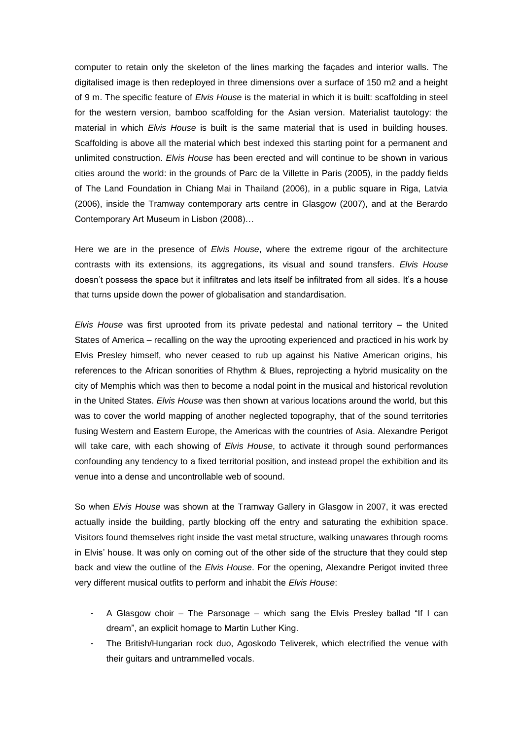computer to retain only the skeleton of the lines marking the façades and interior walls. The digitalised image is then redeployed in three dimensions over a surface of 150 m2 and a height of 9 m. The specific feature of *Elvis House* is the material in which it is built: scaffolding in steel for the western version, bamboo scaffolding for the Asian version. Materialist tautology: the material in which *Elvis House* is built is the same material that is used in building houses. Scaffolding is above all the material which best indexed this starting point for a permanent and unlimited construction. *Elvis House* has been erected and will continue to be shown in various cities around the world: in the grounds of Parc de la Villette in Paris (2005), in the paddy fields of The Land Foundation in Chiang Mai in Thailand (2006), in a public square in Riga, Latvia (2006), inside the Tramway contemporary arts centre in Glasgow (2007), and at the Berardo Contemporary Art Museum in Lisbon (2008)…

Here we are in the presence of *Elvis House*, where the extreme rigour of the architecture contrasts with its extensions, its aggregations, its visual and sound transfers. *Elvis House* doesn't possess the space but it infiltrates and lets itself be infiltrated from all sides. It's a house that turns upside down the power of globalisation and standardisation.

*Elvis House* was first uprooted from its private pedestal and national territory – the United States of America – recalling on the way the uprooting experienced and practiced in his work by Elvis Presley himself, who never ceased to rub up against his Native American origins, his references to the African sonorities of Rhythm & Blues, reprojecting a hybrid musicality on the city of Memphis which was then to become a nodal point in the musical and historical revolution in the United States. *Elvis House* was then shown at various locations around the world, but this was to cover the world mapping of another neglected topography, that of the sound territories fusing Western and Eastern Europe, the Americas with the countries of Asia. Alexandre Perigot will take care, with each showing of *Elvis House*, to activate it through sound performances confounding any tendency to a fixed territorial position, and instead propel the exhibition and its venue into a dense and uncontrollable web of soound.

So when *Elvis House* was shown at the Tramway Gallery in Glasgow in 2007, it was erected actually inside the building, partly blocking off the entry and saturating the exhibition space. Visitors found themselves right inside the vast metal structure, walking unawares through rooms in Elvis" house. It was only on coming out of the other side of the structure that they could step back and view the outline of the *Elvis House*. For the opening, Alexandre Perigot invited three very different musical outfits to perform and inhabit the *Elvis House*:

- A Glasgow choir The Parsonage which sang the Elvis Presley ballad "If I can dream", an explicit homage to Martin Luther King.
- The British/Hungarian rock duo, Agoskodo Teliverek, which electrified the venue with their guitars and untrammelled vocals.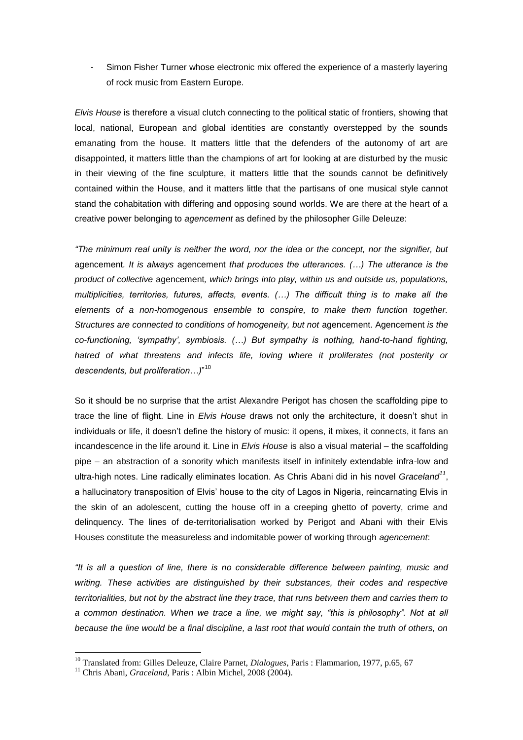Simon Fisher Turner whose electronic mix offered the experience of a masterly layering of rock music from Eastern Europe.

*Elvis House* is therefore a visual clutch connecting to the political static of frontiers, showing that local, national, European and global identities are constantly overstepped by the sounds emanating from the house. It matters little that the defenders of the autonomy of art are disappointed, it matters little than the champions of art for looking at are disturbed by the music in their viewing of the fine sculpture, it matters little that the sounds cannot be definitively contained within the House, and it matters little that the partisans of one musical style cannot stand the cohabitation with differing and opposing sound worlds. We are there at the heart of a creative power belonging to *agencement* as defined by the philosopher Gille Deleuze:

*"The minimum real unity is neither the word, nor the idea or the concept, nor the signifier, but*  agencement*. It is always* agencement *that produces the utterances. (…) The utterance is the product of collective* agencement*, which brings into play, within us and outside us, populations, multiplicities, territories, futures, affects, events. (…) The difficult thing is to make all the elements of a non-homogenous ensemble to conspire, to make them function together. Structures are connected to conditions of homogeneity, but not* agencement. Agencement *is the co-functioning, "sympathy", symbiosis. (…) But sympathy is nothing, hand-to-hand fighting, hatred of what threatens and infects life, loving where it proliferates (not posterity or descendents, but proliferation…)*" 10

So it should be no surprise that the artist Alexandre Perigot has chosen the scaffolding pipe to trace the line of flight. Line in *Elvis House* draws not only the architecture, it doesn"t shut in individuals or life, it doesn"t define the history of music: it opens, it mixes, it connects, it fans an incandescence in the life around it. Line in *Elvis House* is also a visual material – the scaffolding pipe – an abstraction of a sonority which manifests itself in infinitely extendable infra-low and ultra-high notes. Line radically eliminates location. As Chris Abani did in his novel *Graceland<sup>11</sup>* , a hallucinatory transposition of Elvis" house to the city of Lagos in Nigeria, reincarnating Elvis in the skin of an adolescent, cutting the house off in a creeping ghetto of poverty, crime and delinquency. The lines of de-territorialisation worked by Perigot and Abani with their Elvis Houses constitute the measureless and indomitable power of working through *agencement*:

*"It is all a question of line, there is no considerable difference between painting, music and writing. These activities are distinguished by their substances, their codes and respective territorialities, but not by the abstract line they trace, that runs between them and carries them to a common destination. When we trace a line, we might say, "this is philosophy". Not at all because the line would be a final discipline, a last root that would contain the truth of others, on* 

<sup>10</sup> Translated from: Gilles Deleuze, Claire Parnet, *Dialogues*, Paris : Flammarion, 1977, p.65, 67

<sup>&</sup>lt;sup>11</sup> Chris Abani, *Graceland*, Paris : Albin Michel, 2008 (2004).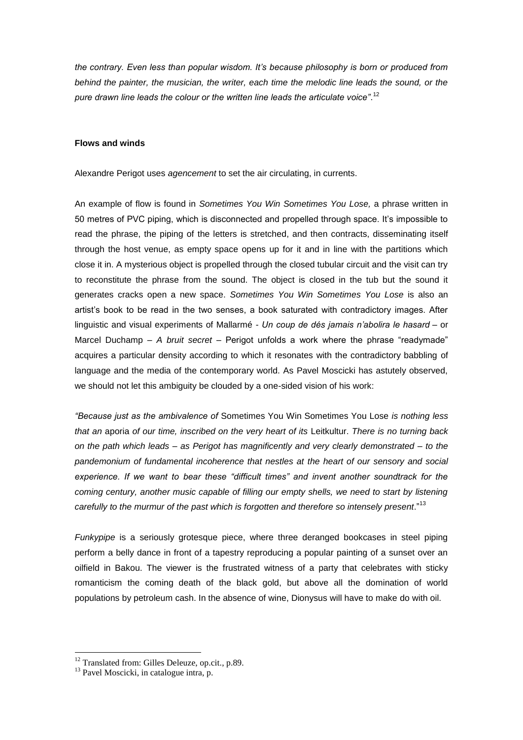*the contrary. Even less than popular wisdom. It"s because philosophy is born or produced from*  behind the painter, the musician, the writer, each time the melodic line leads the sound, or the *pure drawn line leads the colour or the written line leads the articulate voice"*. 12

### **Flows and winds**

Alexandre Perigot uses *agencement* to set the air circulating, in currents.

An example of flow is found in *Sometimes You Win Sometimes You Lose,* a phrase written in 50 metres of PVC piping, which is disconnected and propelled through space. It's impossible to read the phrase, the piping of the letters is stretched, and then contracts, disseminating itself through the host venue, as empty space opens up for it and in line with the partitions which close it in. A mysterious object is propelled through the closed tubular circuit and the visit can try to reconstitute the phrase from the sound. The object is closed in the tub but the sound it generates cracks open a new space. *Sometimes You Win Sometimes You Lose* is also an artist's book to be read in the two senses, a book saturated with contradictory images. After linguistic and visual experiments of Mallarmé - *Un coup de dés jamais n"abolira le hasard* – or Marcel Duchamp – *A bruit secret* – Perigot unfolds a work where the phrase "readymade" acquires a particular density according to which it resonates with the contradictory babbling of language and the media of the contemporary world. As Pavel Moscicki has astutely observed, we should not let this ambiguity be clouded by a one-sided vision of his work:

*"Because just as the ambivalence of* Sometimes You Win Sometimes You Lose *is nothing less that an* aporia *of our time, inscribed on the very heart of its* Leitkultur. *There is no turning back on the path which leads – as Perigot has magnificently and very clearly demonstrated – to the*  pandemonium of fundamental incoherence that nestles at the heart of our sensory and social *experience. If we want to bear these "difficult times" and invent another soundtrack for the coming century, another music capable of filling our empty shells, we need to start by listening carefully to the murmur of the past which is forgotten and therefore so intensely present*."<sup>13</sup>

*Funkypipe* is a seriously grotesque piece, where three deranged bookcases in steel piping perform a belly dance in front of a tapestry reproducing a popular painting of a sunset over an oilfield in Bakou. The viewer is the frustrated witness of a party that celebrates with sticky romanticism the coming death of the black gold, but above all the domination of world populations by petroleum cash. In the absence of wine, Dionysus will have to make do with oil.

<sup>&</sup>lt;sup>12</sup> Translated from: Gilles Deleuze, op.cit., p.89.

 $13$  Pavel Moscicki, in catalogue intra, p.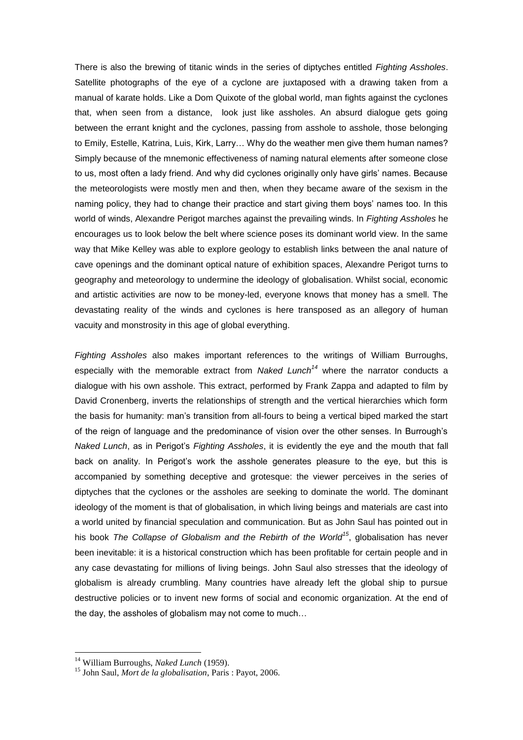There is also the brewing of titanic winds in the series of diptyches entitled *Fighting Assholes*. Satellite photographs of the eye of a cyclone are juxtaposed with a drawing taken from a manual of karate holds. Like a Dom Quixote of the global world, man fights against the cyclones that, when seen from a distance, look just like assholes. An absurd dialogue gets going between the errant knight and the cyclones, passing from asshole to asshole, those belonging to Emily, Estelle, Katrina, Luis, Kirk, Larry… Why do the weather men give them human names? Simply because of the mnemonic effectiveness of naming natural elements after someone close to us, most often a lady friend. And why did cyclones originally only have girls' names. Because the meteorologists were mostly men and then, when they became aware of the sexism in the naming policy, they had to change their practice and start giving them boys' names too. In this world of winds, Alexandre Perigot marches against the prevailing winds. In *Fighting Assholes* he encourages us to look below the belt where science poses its dominant world view. In the same way that Mike Kelley was able to explore geology to establish links between the anal nature of cave openings and the dominant optical nature of exhibition spaces, Alexandre Perigot turns to geography and meteorology to undermine the ideology of globalisation. Whilst social, economic and artistic activities are now to be money-led, everyone knows that money has a smell. The devastating reality of the winds and cyclones is here transposed as an allegory of human vacuity and monstrosity in this age of global everything.

*Fighting Assholes* also makes important references to the writings of William Burroughs, especially with the memorable extract from *Naked Lunch<sup>14</sup>* where the narrator conducts a dialogue with his own asshole. This extract, performed by Frank Zappa and adapted to film by David Cronenberg, inverts the relationships of strength and the vertical hierarchies which form the basis for humanity: man"s transition from all-fours to being a vertical biped marked the start of the reign of language and the predominance of vision over the other senses. In Burrough"s *Naked Lunch*, as in Perigot"s *Fighting Assholes*, it is evidently the eye and the mouth that fall back on anality. In Perigot's work the asshole generates pleasure to the eye, but this is accompanied by something deceptive and grotesque: the viewer perceives in the series of diptyches that the cyclones or the assholes are seeking to dominate the world. The dominant ideology of the moment is that of globalisation, in which living beings and materials are cast into a world united by financial speculation and communication. But as John Saul has pointed out in his book *The Collapse of Globalism and the Rebirth of the World<sup>15</sup>*, globalisation has never been inevitable: it is a historical construction which has been profitable for certain people and in any case devastating for millions of living beings. John Saul also stresses that the ideology of globalism is already crumbling. Many countries have already left the global ship to pursue destructive policies or to invent new forms of social and economic organization. At the end of the day, the assholes of globalism may not come to much…

<sup>14</sup> William Burroughs, *Naked Lunch* (1959).

<sup>15</sup> John Saul, *Mort de la globalisation*, Paris : Payot, 2006.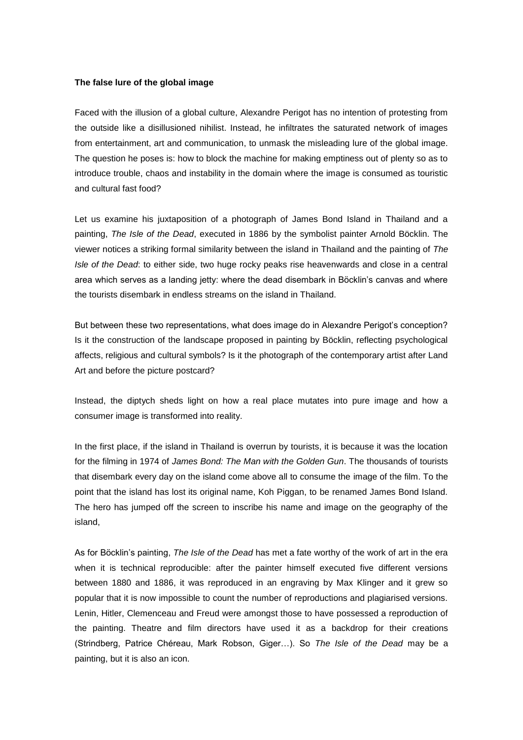## **The false lure of the global image**

Faced with the illusion of a global culture, Alexandre Perigot has no intention of protesting from the outside like a disillusioned nihilist. Instead, he infiltrates the saturated network of images from entertainment, art and communication, to unmask the misleading lure of the global image. The question he poses is: how to block the machine for making emptiness out of plenty so as to introduce trouble, chaos and instability in the domain where the image is consumed as touristic and cultural fast food?

Let us examine his juxtaposition of a photograph of James Bond Island in Thailand and a painting, *The Isle of the Dead*, executed in 1886 by the symbolist painter Arnold Böcklin. The viewer notices a striking formal similarity between the island in Thailand and the painting of *The Isle of the Dead*: to either side, two huge rocky peaks rise heavenwards and close in a central area which serves as a landing jetty: where the dead disembark in Böcklin"s canvas and where the tourists disembark in endless streams on the island in Thailand.

But between these two representations, what does image do in Alexandre Perigot"s conception? Is it the construction of the landscape proposed in painting by Böcklin, reflecting psychological affects, religious and cultural symbols? Is it the photograph of the contemporary artist after Land Art and before the picture postcard?

Instead, the diptych sheds light on how a real place mutates into pure image and how a consumer image is transformed into reality.

In the first place, if the island in Thailand is overrun by tourists, it is because it was the location for the filming in 1974 of *James Bond: The Man with the Golden Gun*. The thousands of tourists that disembark every day on the island come above all to consume the image of the film. To the point that the island has lost its original name, Koh Piggan, to be renamed James Bond Island. The hero has jumped off the screen to inscribe his name and image on the geography of the island,

As for Böcklin"s painting, *The Isle of the Dead* has met a fate worthy of the work of art in the era when it is technical reproducible: after the painter himself executed five different versions between 1880 and 1886, it was reproduced in an engraving by Max Klinger and it grew so popular that it is now impossible to count the number of reproductions and plagiarised versions. Lenin, Hitler, Clemenceau and Freud were amongst those to have possessed a reproduction of the painting. Theatre and film directors have used it as a backdrop for their creations (Strindberg, Patrice Chéreau, Mark Robson, Giger…). So *The Isle of the Dead* may be a painting, but it is also an icon.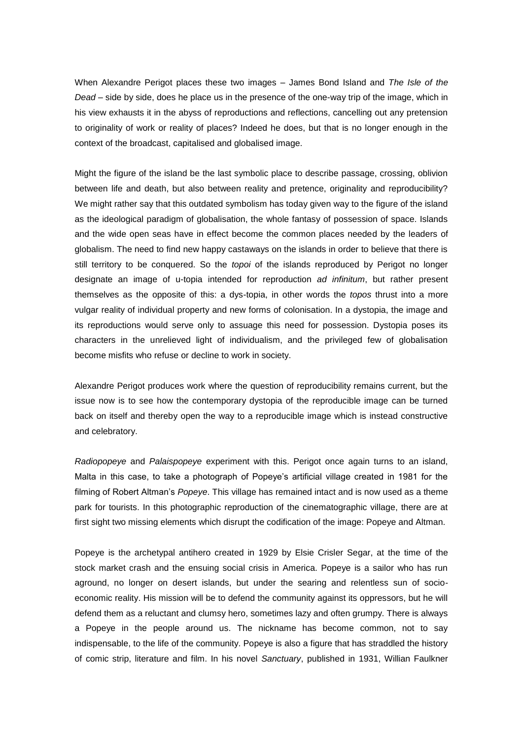When Alexandre Perigot places these two images – James Bond Island and *The Isle of the Dead* – side by side, does he place us in the presence of the one-way trip of the image, which in his view exhausts it in the abyss of reproductions and reflections, cancelling out any pretension to originality of work or reality of places? Indeed he does, but that is no longer enough in the context of the broadcast, capitalised and globalised image.

Might the figure of the island be the last symbolic place to describe passage, crossing, oblivion between life and death, but also between reality and pretence, originality and reproducibility? We might rather say that this outdated symbolism has today given way to the figure of the island as the ideological paradigm of globalisation, the whole fantasy of possession of space. Islands and the wide open seas have in effect become the common places needed by the leaders of globalism. The need to find new happy castaways on the islands in order to believe that there is still territory to be conquered. So the *topoi* of the islands reproduced by Perigot no longer designate an image of u-topia intended for reproduction *ad infinitum*, but rather present themselves as the opposite of this: a dys-topia, in other words the *topos* thrust into a more vulgar reality of individual property and new forms of colonisation. In a dystopia, the image and its reproductions would serve only to assuage this need for possession. Dystopia poses its characters in the unrelieved light of individualism, and the privileged few of globalisation become misfits who refuse or decline to work in society.

Alexandre Perigot produces work where the question of reproducibility remains current, but the issue now is to see how the contemporary dystopia of the reproducible image can be turned back on itself and thereby open the way to a reproducible image which is instead constructive and celebratory.

*Radiopopeye* and *Palaispopeye* experiment with this. Perigot once again turns to an island, Malta in this case, to take a photograph of Popeye"s artificial village created in 1981 for the filming of Robert Altman"s *Popeye*. This village has remained intact and is now used as a theme park for tourists. In this photographic reproduction of the cinematographic village, there are at first sight two missing elements which disrupt the codification of the image: Popeye and Altman.

Popeye is the archetypal antihero created in 1929 by Elsie Crisler Segar, at the time of the stock market crash and the ensuing social crisis in America. Popeye is a sailor who has run aground, no longer on desert islands, but under the searing and relentless sun of socioeconomic reality. His mission will be to defend the community against its oppressors, but he will defend them as a reluctant and clumsy hero, sometimes lazy and often grumpy. There is always a Popeye in the people around us. The nickname has become common, not to say indispensable, to the life of the community. Popeye is also a figure that has straddled the history of comic strip, literature and film. In his novel *Sanctuary*, published in 1931, Willian Faulkner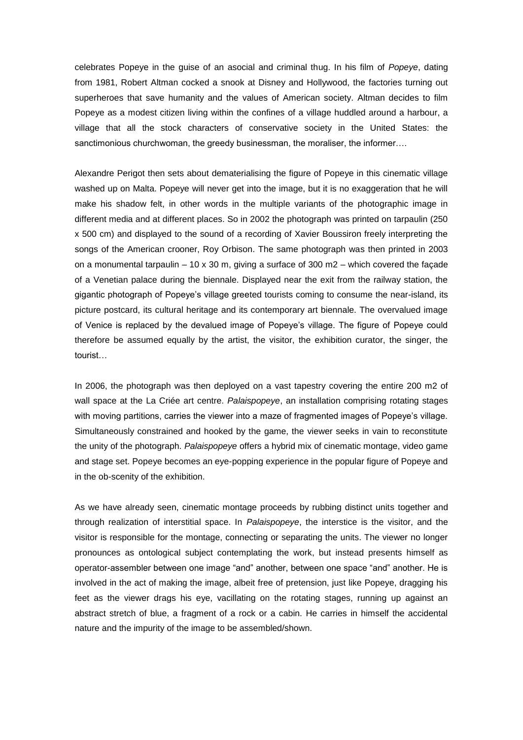celebrates Popeye in the guise of an asocial and criminal thug. In his film of *Popeye*, dating from 1981, Robert Altman cocked a snook at Disney and Hollywood, the factories turning out superheroes that save humanity and the values of American society. Altman decides to film Popeye as a modest citizen living within the confines of a village huddled around a harbour, a village that all the stock characters of conservative society in the United States: the sanctimonious churchwoman, the greedy businessman, the moraliser, the informer….

Alexandre Perigot then sets about dematerialising the figure of Popeye in this cinematic village washed up on Malta. Popeye will never get into the image, but it is no exaggeration that he will make his shadow felt, in other words in the multiple variants of the photographic image in different media and at different places. So in 2002 the photograph was printed on tarpaulin (250 x 500 cm) and displayed to the sound of a recording of Xavier Boussiron freely interpreting the songs of the American crooner, Roy Orbison. The same photograph was then printed in 2003 on a monumental tarpaulin – 10 x 30 m, giving a surface of 300 m2 – which covered the façade of a Venetian palace during the biennale. Displayed near the exit from the railway station, the gigantic photograph of Popeye"s village greeted tourists coming to consume the near-island, its picture postcard, its cultural heritage and its contemporary art biennale. The overvalued image of Venice is replaced by the devalued image of Popeye"s village. The figure of Popeye could therefore be assumed equally by the artist, the visitor, the exhibition curator, the singer, the tourist…

In 2006, the photograph was then deployed on a vast tapestry covering the entire 200 m2 of wall space at the La Criée art centre. *Palaispopeye*, an installation comprising rotating stages with moving partitions, carries the viewer into a maze of fragmented images of Popeye's village. Simultaneously constrained and hooked by the game, the viewer seeks in vain to reconstitute the unity of the photograph. *Palaispopeye* offers a hybrid mix of cinematic montage, video game and stage set. Popeye becomes an eye-popping experience in the popular figure of Popeye and in the ob-scenity of the exhibition.

As we have already seen, cinematic montage proceeds by rubbing distinct units together and through realization of interstitial space. In *Palaispopeye*, the interstice is the visitor, and the visitor is responsible for the montage, connecting or separating the units. The viewer no longer pronounces as ontological subject contemplating the work, but instead presents himself as operator-assembler between one image "and" another, between one space "and" another. He is involved in the act of making the image, albeit free of pretension, just like Popeye, dragging his feet as the viewer drags his eye, vacillating on the rotating stages, running up against an abstract stretch of blue, a fragment of a rock or a cabin. He carries in himself the accidental nature and the impurity of the image to be assembled/shown.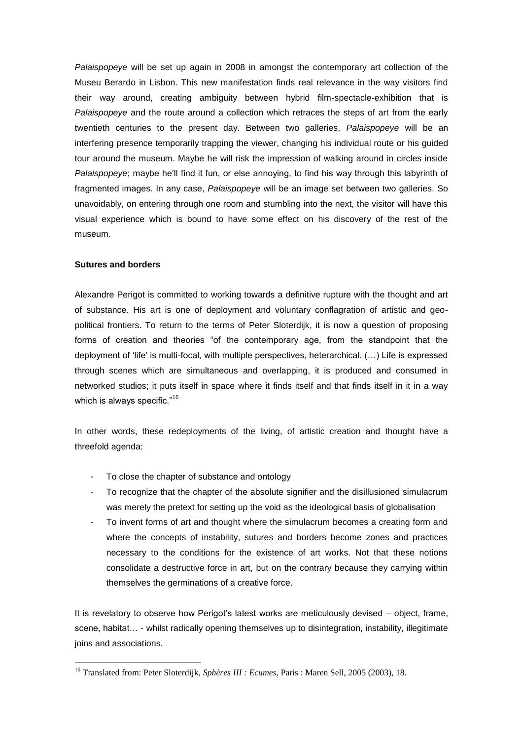*Palaispopeye* will be set up again in 2008 in amongst the contemporary art collection of the Museu Berardo in Lisbon. This new manifestation finds real relevance in the way visitors find their way around, creating ambiguity between hybrid film-spectacle-exhibition that is *Palaispopeye* and the route around a collection which retraces the steps of art from the early twentieth centuries to the present day. Between two galleries, *Palaispopeye* will be an interfering presence temporarily trapping the viewer, changing his individual route or his guided tour around the museum. Maybe he will risk the impression of walking around in circles inside *Palaispopeye*; maybe he"ll find it fun, or else annoying, to find his way through this labyrinth of fragmented images. In any case, *Palaispopeye* will be an image set between two galleries. So unavoidably, on entering through one room and stumbling into the next, the visitor will have this visual experience which is bound to have some effect on his discovery of the rest of the museum.

# **Sutures and borders**

1

Alexandre Perigot is committed to working towards a definitive rupture with the thought and art of substance. His art is one of deployment and voluntary conflagration of artistic and geopolitical frontiers. To return to the terms of Peter Sloterdijk, it is now a question of proposing forms of creation and theories "of the contemporary age, from the standpoint that the deployment of "life" is multi-focal, with multiple perspectives, heterarchical. (…) Life is expressed through scenes which are simultaneous and overlapping, it is produced and consumed in networked studios; it puts itself in space where it finds itself and that finds itself in it in a way which is always specific."<sup>16</sup>

In other words, these redeployments of the living, of artistic creation and thought have a threefold agenda:

- To close the chapter of substance and ontology
- To recognize that the chapter of the absolute signifier and the disillusioned simulacrum was merely the pretext for setting up the void as the ideological basis of globalisation
- To invent forms of art and thought where the simulacrum becomes a creating form and where the concepts of instability, sutures and borders become zones and practices necessary to the conditions for the existence of art works. Not that these notions consolidate a destructive force in art, but on the contrary because they carrying within themselves the germinations of a creative force.

It is revelatory to observe how Perigot"s latest works are meticulously devised – object, frame, scene, habitat… - whilst radically opening themselves up to disintegration, instability, illegitimate joins and associations.

<sup>16</sup> Translated from: Peter Sloterdijk, *Sphères III : Ecumes*, Paris : Maren Sell, 2005 (2003), 18.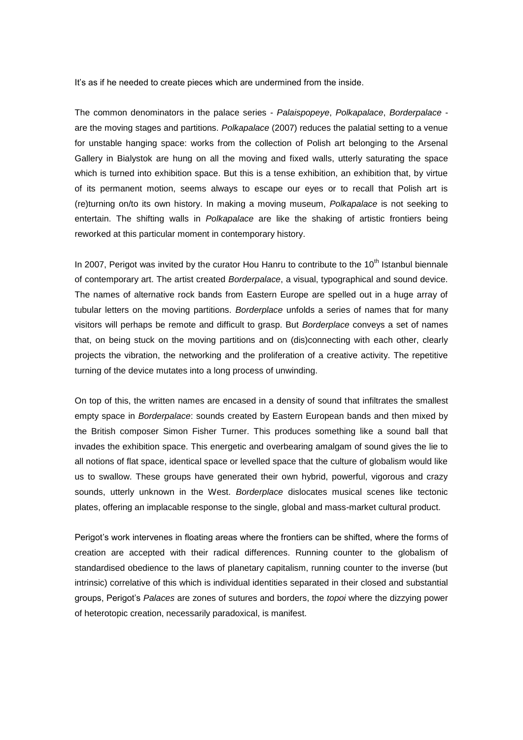It's as if he needed to create pieces which are undermined from the inside.

The common denominators in the palace series - *Palaispopeye*, *Polkapalace*, *Borderpalace* are the moving stages and partitions. *Polkapalace* (2007) reduces the palatial setting to a venue for unstable hanging space: works from the collection of Polish art belonging to the Arsenal Gallery in Bialystok are hung on all the moving and fixed walls, utterly saturating the space which is turned into exhibition space. But this is a tense exhibition, an exhibition that, by virtue of its permanent motion, seems always to escape our eyes or to recall that Polish art is (re)turning on/to its own history. In making a moving museum, *Polkapalace* is not seeking to entertain. The shifting walls in *Polkapalace* are like the shaking of artistic frontiers being reworked at this particular moment in contemporary history.

In 2007, Perigot was invited by the curator Hou Hanru to contribute to the  $10<sup>th</sup>$  Istanbul biennale of contemporary art. The artist created *Borderpalace*, a visual, typographical and sound device. The names of alternative rock bands from Eastern Europe are spelled out in a huge array of tubular letters on the moving partitions. *Borderplace* unfolds a series of names that for many visitors will perhaps be remote and difficult to grasp. But *Borderplace* conveys a set of names that, on being stuck on the moving partitions and on (dis)connecting with each other, clearly projects the vibration, the networking and the proliferation of a creative activity. The repetitive turning of the device mutates into a long process of unwinding.

On top of this, the written names are encased in a density of sound that infiltrates the smallest empty space in *Borderpalace*: sounds created by Eastern European bands and then mixed by the British composer Simon Fisher Turner. This produces something like a sound ball that invades the exhibition space. This energetic and overbearing amalgam of sound gives the lie to all notions of flat space, identical space or levelled space that the culture of globalism would like us to swallow. These groups have generated their own hybrid, powerful, vigorous and crazy sounds, utterly unknown in the West. *Borderplace* dislocates musical scenes like tectonic plates, offering an implacable response to the single, global and mass-market cultural product.

Perigot's work intervenes in floating areas where the frontiers can be shifted, where the forms of creation are accepted with their radical differences. Running counter to the globalism of standardised obedience to the laws of planetary capitalism, running counter to the inverse (but intrinsic) correlative of this which is individual identities separated in their closed and substantial groups, Perigot"s *Palaces* are zones of sutures and borders, the *topoi* where the dizzying power of heterotopic creation, necessarily paradoxical, is manifest.